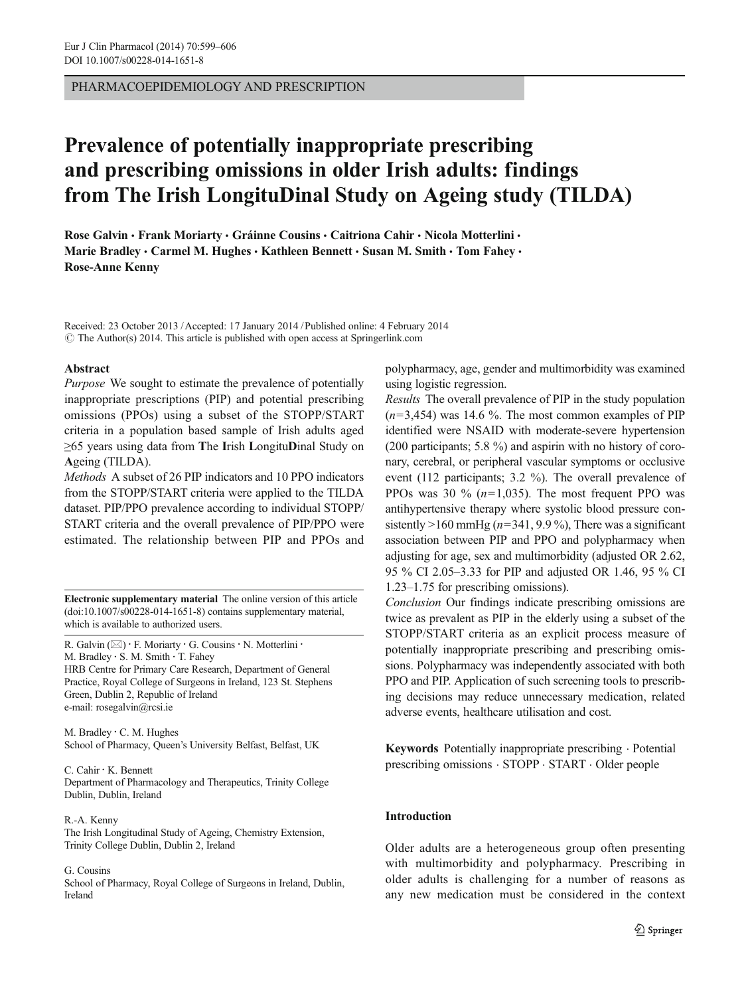PHARMACOEPIDEMIOLOGY AND PRESCRIPTION

# Prevalence of potentially inappropriate prescribing and prescribing omissions in older Irish adults: findings from The Irish LongituDinal Study on Ageing study (TILDA)

Rose Galvin • Frank Moriarty • Gráinne Cousins • Caitriona Cahir • Nicola Motterlini • Marie Bradley • Carmel M. Hughes • Kathleen Bennett • Susan M. Smith • Tom Fahey • Rose-Anne Kenny

Received: 23 October 2013 /Accepted: 17 January 2014 /Published online: 4 February 2014  $\odot$  The Author(s) 2014. This article is published with open access at Springerlink.com

## Abstract

Purpose We sought to estimate the prevalence of potentially inappropriate prescriptions (PIP) and potential prescribing omissions (PPOs) using a subset of the STOPP/START criteria in a population based sample of Irish adults aged ≥65 years using data from The Irish LongituDinal Study on Ageing (TILDA).

Methods A subset of 26 PIP indicators and 10 PPO indicators from the STOPP/START criteria were applied to the TILDA dataset. PIP/PPO prevalence according to individual STOPP/ START criteria and the overall prevalence of PIP/PPO were estimated. The relationship between PIP and PPOs and

Electronic supplementary material The online version of this article (doi[:10.1007/s00228-014-1651-8](http://dx.doi.org/10.1007/s00228-014-1651-8)) contains supplementary material, which is available to authorized users.

R. Galvin ( $\boxtimes$ ) · F. Moriarty · G. Cousins · N. Motterlini · M. Bradley : S. M. Smith : T. Fahey HRB Centre for Primary Care Research, Department of General Practice, Royal College of Surgeons in Ireland, 123 St. Stephens Green, Dublin 2, Republic of Ireland e-mail: rosegalvin@rcsi.ie

M. Bradley : C. M. Hughes School of Pharmacy, Queen's University Belfast, Belfast, UK

C. Cahir : K. Bennett Department of Pharmacology and Therapeutics, Trinity College Dublin, Dublin, Ireland

R.-A. Kenny The Irish Longitudinal Study of Ageing, Chemistry Extension, Trinity College Dublin, Dublin 2, Ireland

#### G. Cousins

School of Pharmacy, Royal College of Surgeons in Ireland, Dublin, Ireland

polypharmacy, age, gender and multimorbidity was examined using logistic regression.

Results The overall prevalence of PIP in the study population  $(n=3,454)$  was 14.6 %. The most common examples of PIP identified were NSAID with moderate-severe hypertension (200 participants; 5.8 %) and aspirin with no history of coronary, cerebral, or peripheral vascular symptoms or occlusive event (112 participants; 3.2 %). The overall prevalence of PPOs was 30 %  $(n=1,035)$ . The most frequent PPO was antihypertensive therapy where systolic blood pressure consistently >160 mmHg ( $n=341, 9.9\%$ ), There was a significant association between PIP and PPO and polypharmacy when adjusting for age, sex and multimorbidity (adjusted OR 2.62, 95 % CI 2.05–3.33 for PIP and adjusted OR 1.46, 95 % CI 1.23–1.75 for prescribing omissions).

Conclusion Our findings indicate prescribing omissions are twice as prevalent as PIP in the elderly using a subset of the STOPP/START criteria as an explicit process measure of potentially inappropriate prescribing and prescribing omissions. Polypharmacy was independently associated with both PPO and PIP. Application of such screening tools to prescribing decisions may reduce unnecessary medication, related adverse events, healthcare utilisation and cost.

Keywords Potentially inappropriate prescribing . Potential prescribing omissions . STOPP . START . Older people

#### Introduction

Older adults are a heterogeneous group often presenting with multimorbidity and polypharmacy. Prescribing in older adults is challenging for a number of reasons as any new medication must be considered in the context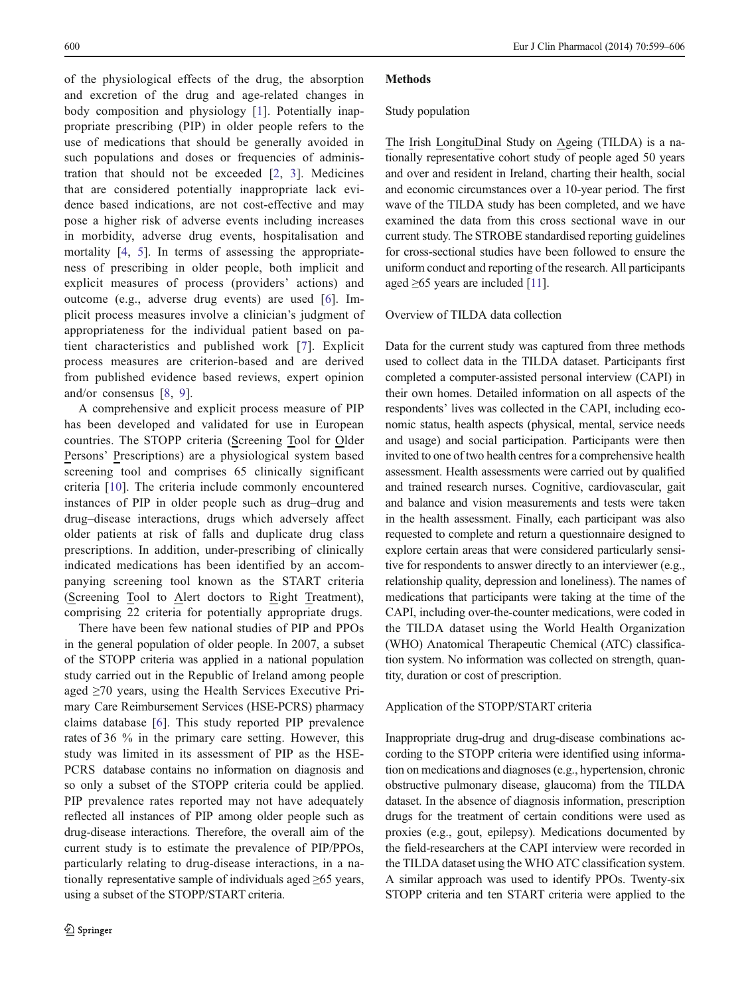of the physiological effects of the drug, the absorption and excretion of the drug and age-related changes in body composition and physiology [[1](#page-6-0)]. Potentially inappropriate prescribing (PIP) in older people refers to the use of medications that should be generally avoided in such populations and doses or frequencies of administration that should not be exceeded [\[2](#page-6-0), [3\]](#page-6-0). Medicines that are considered potentially inappropriate lack evidence based indications, are not cost-effective and may pose a higher risk of adverse events including increases in morbidity, adverse drug events, hospitalisation and mortality [\[4](#page-6-0), [5](#page-7-0)]. In terms of assessing the appropriateness of prescribing in older people, both implicit and explicit measures of process (providers' actions) and outcome (e.g., adverse drug events) are used [\[6](#page-7-0)]. Implicit process measures involve a clinician's judgment of appropriateness for the individual patient based on patient characteristics and published work [[7](#page-7-0)]. Explicit process measures are criterion-based and are derived from published evidence based reviews, expert opinion and/or consensus [\[8](#page-7-0), [9\]](#page-7-0).

A comprehensive and explicit process measure of PIP has been developed and validated for use in European countries. The STOPP criteria (Screening Tool for Older Persons' Prescriptions) are a physiological system based screening tool and comprises 65 clinically significant criteria [[10\]](#page-7-0). The criteria include commonly encountered instances of PIP in older people such as drug–drug and drug–disease interactions, drugs which adversely affect older patients at risk of falls and duplicate drug class prescriptions. In addition, under-prescribing of clinically indicated medications has been identified by an accompanying screening tool known as the START criteria (Screening Tool to Alert doctors to Right Treatment), comprising 22 criteria for potentially appropriate drugs.

There have been few national studies of PIP and PPOs in the general population of older people. In 2007, a subset of the STOPP criteria was applied in a national population study carried out in the Republic of Ireland among people aged ≥70 years, using the Health Services Executive Primary Care Reimbursement Services (HSE-PCRS) pharmacy claims database [\[6](#page-7-0)]. This study reported PIP prevalence rates of 36 % in the primary care setting. However, this study was limited in its assessment of PIP as the HSE-PCRS database contains no information on diagnosis and so only a subset of the STOPP criteria could be applied. PIP prevalence rates reported may not have adequately reflected all instances of PIP among older people such as drug-disease interactions. Therefore, the overall aim of the current study is to estimate the prevalence of PIP/PPOs, particularly relating to drug-disease interactions, in a nationally representative sample of individuals aged ≥65 years, using a subset of the STOPP/START criteria.

#### **Methods**

#### Study population

The Irish LongituDinal Study on Ageing (TILDA) is a nationally representative cohort study of people aged 50 years and over and resident in Ireland, charting their health, social and economic circumstances over a 10-year period. The first wave of the TILDA study has been completed, and we have examined the data from this cross sectional wave in our current study. The STROBE standardised reporting guidelines for cross-sectional studies have been followed to ensure the uniform conduct and reporting of the research. All participants aged  $\geq 65$  years are included [\[11\]](#page-7-0).

## Overview of TILDA data collection

Data for the current study was captured from three methods used to collect data in the TILDA dataset. Participants first completed a computer-assisted personal interview (CAPI) in their own homes. Detailed information on all aspects of the respondents' lives was collected in the CAPI, including economic status, health aspects (physical, mental, service needs and usage) and social participation. Participants were then invited to one of two health centres for a comprehensive health assessment. Health assessments were carried out by qualified and trained research nurses. Cognitive, cardiovascular, gait and balance and vision measurements and tests were taken in the health assessment. Finally, each participant was also requested to complete and return a questionnaire designed to explore certain areas that were considered particularly sensitive for respondents to answer directly to an interviewer (e.g., relationship quality, depression and loneliness). The names of medications that participants were taking at the time of the CAPI, including over-the-counter medications, were coded in the TILDA dataset using the World Health Organization (WHO) Anatomical Therapeutic Chemical (ATC) classification system. No information was collected on strength, quantity, duration or cost of prescription.

## Application of the STOPP/START criteria

Inappropriate drug-drug and drug-disease combinations according to the STOPP criteria were identified using information on medications and diagnoses (e.g., hypertension, chronic obstructive pulmonary disease, glaucoma) from the TILDA dataset. In the absence of diagnosis information, prescription drugs for the treatment of certain conditions were used as proxies (e.g., gout, epilepsy). Medications documented by the field-researchers at the CAPI interview were recorded in the TILDA dataset using the WHO ATC classification system. A similar approach was used to identify PPOs. Twenty-six STOPP criteria and ten START criteria were applied to the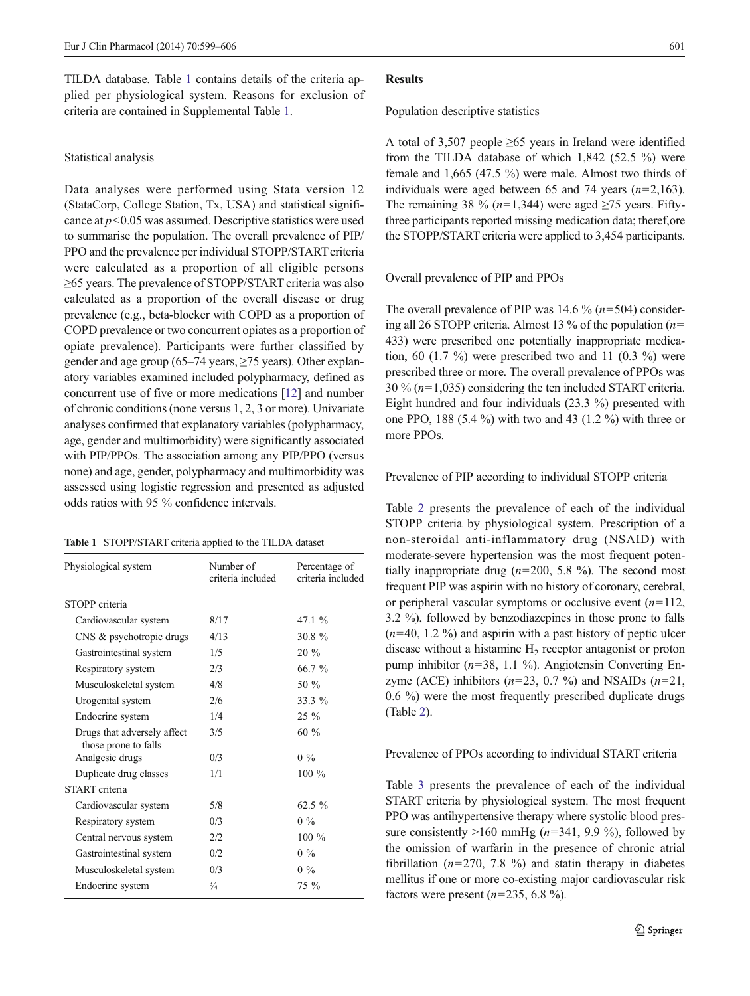<span id="page-2-0"></span>TILDA database. Table 1 contains details of the criteria applied per physiological system. Reasons for exclusion of criteria are contained in Supplemental Table 1.

#### Statistical analysis

Data analyses were performed using Stata version 12 (StataCorp, College Station, Tx, USA) and statistical significance at  $p<0.05$  was assumed. Descriptive statistics were used to summarise the population. The overall prevalence of PIP/ PPO and the prevalence per individual STOPP/START criteria were calculated as a proportion of all eligible persons ≥65 years. The prevalence of STOPP/START criteria was also calculated as a proportion of the overall disease or drug prevalence (e.g., beta-blocker with COPD as a proportion of COPD prevalence or two concurrent opiates as a proportion of opiate prevalence). Participants were further classified by gender and age group (65–74 years, ≥75 years). Other explanatory variables examined included polypharmacy, defined as concurrent use of five or more medications [\[12](#page-7-0)] and number of chronic conditions (none versus 1, 2, 3 or more). Univariate analyses confirmed that explanatory variables (polypharmacy, age, gender and multimorbidity) were significantly associated with PIP/PPOs. The association among any PIP/PPO (versus none) and age, gender, polypharmacy and multimorbidity was assessed using logistic regression and presented as adjusted odds ratios with 95 % confidence intervals.

| Physiological system                                | Number of<br>criteria included | Percentage of<br>criteria included |
|-----------------------------------------------------|--------------------------------|------------------------------------|
| STOPP criteria                                      |                                |                                    |
| Cardiovascular system                               | 8/17                           | 47.1 $\%$                          |
| CNS & psychotropic drugs                            | 4/13                           | $30.8 \%$                          |
| Gastrointestinal system                             | 1/5                            | $20\%$                             |
| Respiratory system                                  | 2/3                            | 66.7 %                             |
| Musculoskeletal system                              | 4/8                            | 50 $\%$                            |
| Urogenital system                                   | 2/6                            | 33.3 %                             |
| Endocrine system                                    | 1/4                            | $25\%$                             |
| Drugs that adversely affect<br>those prone to falls | 3/5                            | 60 $\%$                            |
| Analgesic drugs                                     | 0/3                            | $0\%$                              |
| Duplicate drug classes                              | 1/1                            | $100\%$                            |
| <b>START</b> criteria                               |                                |                                    |
| Cardiovascular system                               | 5/8                            | $62.5\%$                           |
| Respiratory system                                  | 0/3                            | $0\%$                              |
| Central nervous system                              | 2/2                            | $100\%$                            |
| Gastrointestinal system                             | 0/2                            | $0\%$                              |
| Musculoskeletal system                              | 0/3                            | $0\%$                              |
| Endocrine system                                    | $\frac{3}{4}$                  | $75\%$                             |
|                                                     |                                |                                    |

#### Results

Population descriptive statistics

A total of 3,507 people ≥65 years in Ireland were identified from the TILDA database of which 1,842 (52.5 %) were female and 1,665 (47.5 %) were male. Almost two thirds of individuals were aged between 65 and 74 years  $(n=2,163)$ . The remaining 38 % ( $n=1,344$ ) were aged  $\geq 75$  years. Fiftythree participants reported missing medication data; theref,ore the STOPP/START criteria were applied to 3,454 participants.

Overall prevalence of PIP and PPOs

The overall prevalence of PIP was 14.6 %  $(n=504)$  considering all 26 STOPP criteria. Almost 13 % of the population  $(n=$ 433) were prescribed one potentially inappropriate medication, 60  $(1.7 \%)$  were prescribed two and 11  $(0.3 \%)$  were prescribed three or more. The overall prevalence of PPOs was 30 %  $(n=1,035)$  considering the ten included START criteria. Eight hundred and four individuals (23.3 %) presented with one PPO, 188 (5.4 %) with two and 43 (1.2 %) with three or more PPOs.

#### Prevalence of PIP according to individual STOPP criteria

Table [2](#page-3-0) presents the prevalence of each of the individual STOPP criteria by physiological system. Prescription of a non-steroidal anti-inflammatory drug (NSAID) with moderate-severe hypertension was the most frequent potentially inappropriate drug ( $n=200$ , 5.8 %). The second most frequent PIP was aspirin with no history of coronary, cerebral, or peripheral vascular symptoms or occlusive event  $(n=112)$ , 3.2 %), followed by benzodiazepines in those prone to falls  $(n=40, 1.2 \%)$  and aspirin with a past history of peptic ulcer disease without a histamine  $H_2$  receptor antagonist or proton pump inhibitor ( $n=38$ , 1.1 %). Angiotensin Converting Enzyme (ACE) inhibitors ( $n=23$ , 0.7 %) and NSAIDs ( $n=21$ , 0.6 %) were the most frequently prescribed duplicate drugs (Table [2](#page-3-0)).

## Prevalence of PPOs according to individual START criteria

Table [3](#page-4-0) presents the prevalence of each of the individual START criteria by physiological system. The most frequent PPO was antihypertensive therapy where systolic blood pressure consistently  $>160$  mmHg ( $n=341$ , 9.9 %), followed by the omission of warfarin in the presence of chronic atrial fibrillation ( $n=270$ , 7.8 %) and statin therapy in diabetes mellitus if one or more co-existing major cardiovascular risk factors were present  $(n=235, 6.8\%)$ .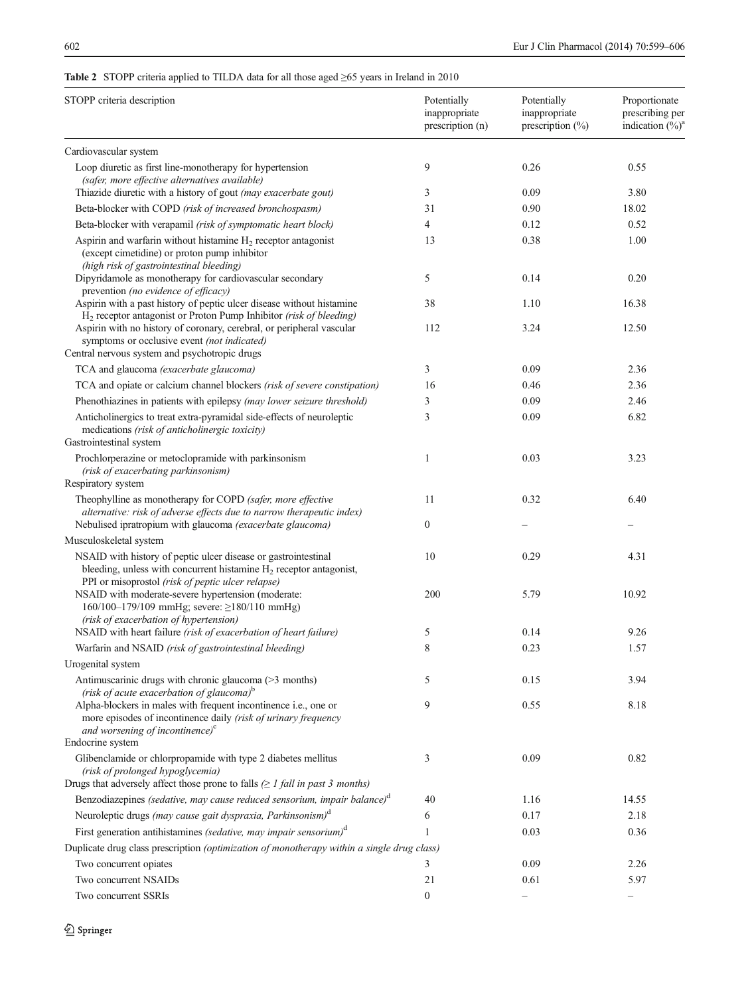## <span id="page-3-0"></span>Table 2 STOPP criteria applied to TILDA data for all those aged ≥65 years in Ireland in 2010

| STOPP criteria description                                                                                                                                                                                                       | Potentially<br>inappropriate<br>prescription (n) | Potentially<br>inappropriate<br>prescription $(\%)$ | Proportionate<br>prescribing per<br>indication $(\%)^{\epsilon}$ |
|----------------------------------------------------------------------------------------------------------------------------------------------------------------------------------------------------------------------------------|--------------------------------------------------|-----------------------------------------------------|------------------------------------------------------------------|
| Cardiovascular system                                                                                                                                                                                                            |                                                  |                                                     |                                                                  |
| Loop diuretic as first line-monotherapy for hypertension<br>(safer, more effective alternatives available)                                                                                                                       | 9                                                | 0.26                                                | 0.55                                                             |
| Thiazide diuretic with a history of gout (may exacerbate gout)                                                                                                                                                                   | 3                                                | 0.09                                                | 3.80                                                             |
| Beta-blocker with COPD (risk of increased bronchospasm)                                                                                                                                                                          | 31                                               | 0.90                                                | 18.02                                                            |
| Beta-blocker with verapamil (risk of symptomatic heart block)                                                                                                                                                                    | 4                                                | 0.12                                                | 0.52                                                             |
| Aspirin and warfarin without histamine $H_2$ receptor antagonist<br>(except cimetidine) or proton pump inhibitor<br>(high risk of gastrointestinal bleeding)                                                                     | 13                                               | 0.38                                                | 1.00                                                             |
| Dipyridamole as monotherapy for cardiovascular secondary<br>prevention (no evidence of efficacy)                                                                                                                                 | 5                                                | 0.14                                                | 0.20                                                             |
| Aspirin with a past history of peptic ulcer disease without histamine<br>H <sub>2</sub> receptor antagonist or Proton Pump Inhibitor (risk of bleeding)<br>Aspirin with no history of coronary, cerebral, or peripheral vascular | 38<br>112                                        | 1.10<br>3.24                                        | 16.38<br>12.50                                                   |
| symptoms or occlusive event (not indicated)<br>Central nervous system and psychotropic drugs                                                                                                                                     |                                                  |                                                     |                                                                  |
| TCA and glaucoma (exacerbate glaucoma)                                                                                                                                                                                           | 3                                                | 0.09                                                | 2.36                                                             |
| TCA and opiate or calcium channel blockers (risk of severe constipation)                                                                                                                                                         | 16                                               | 0.46                                                | 2.36                                                             |
| Phenothiazines in patients with epilepsy (may lower seizure threshold)                                                                                                                                                           | 3                                                | 0.09                                                | 2.46                                                             |
| Anticholinergics to treat extra-pyramidal side-effects of neuroleptic<br>medications (risk of anticholinergic toxicity)<br>Gastrointestinal system                                                                               | 3                                                | 0.09                                                | 6.82                                                             |
| Prochlorperazine or metoclopramide with parkinsonism<br>(risk of exacerbating parkinsonism)                                                                                                                                      | 1                                                | 0.03                                                | 3.23                                                             |
| Respiratory system                                                                                                                                                                                                               |                                                  |                                                     |                                                                  |
| Theophylline as monotherapy for COPD (safer, more effective<br>alternative: risk of adverse effects due to narrow therapeutic index)                                                                                             | 11<br>$\boldsymbol{0}$                           | 0.32                                                | 6.40                                                             |
| Nebulised ipratropium with glaucoma (exacerbate glaucoma)                                                                                                                                                                        |                                                  |                                                     |                                                                  |
| Musculoskeletal system                                                                                                                                                                                                           |                                                  |                                                     |                                                                  |
| NSAID with history of peptic ulcer disease or gastrointestinal<br>bleeding, unless with concurrent histamine $H_2$ receptor antagonist,<br>PPI or misoprostol (risk of peptic ulcer relapse)                                     | 10                                               | 0.29                                                | 4.31                                                             |
| NSAID with moderate-severe hypertension (moderate:<br>160/100-179/109 mmHg; severe: ≥180/110 mmHg)<br>(risk of exacerbation of hypertension)                                                                                     | 200                                              | 5.79                                                | 10.92                                                            |
| NSAID with heart failure (risk of exacerbation of heart failure)                                                                                                                                                                 | 5                                                | 0.14                                                | 9.26                                                             |
| Warfarin and NSAID (risk of gastrointestinal bleeding)                                                                                                                                                                           | 8                                                | 0.23                                                | 1.57                                                             |
| Urogenital system                                                                                                                                                                                                                |                                                  |                                                     |                                                                  |
| Antimuscarinic drugs with chronic glaucoma (>3 months)<br>(risk of acute exacerbation of glaucoma) $b$                                                                                                                           | 5                                                | 0.15                                                | 3.94                                                             |
| Alpha-blockers in males with frequent incontinence i.e., one or<br>more episodes of incontinence daily (risk of urinary frequency<br>and worsening of incontinence) $\text{c}$                                                   | 9                                                | 0.55                                                | 8.18                                                             |
| Endocrine system                                                                                                                                                                                                                 |                                                  |                                                     |                                                                  |
| Glibenclamide or chlorpropamide with type 2 diabetes mellitus<br>(risk of prolonged hypoglycemia)<br>Drugs that adversely affect those prone to falls $\geq 1$ fall in past 3 months)                                            | 3                                                | 0.09                                                | 0.82                                                             |
| Benzodiazepines (sedative, may cause reduced sensorium, impair balance) <sup>d</sup>                                                                                                                                             | 40                                               | 1.16                                                | 14.55                                                            |
| Neuroleptic drugs (may cause gait dyspraxia, Parkinsonism) <sup>d</sup>                                                                                                                                                          | 6                                                | 0.17                                                | 2.18                                                             |
| First generation antihistamines (sedative, may impair sensorium) <sup>d</sup>                                                                                                                                                    | 1                                                | 0.03                                                | 0.36                                                             |
|                                                                                                                                                                                                                                  |                                                  |                                                     |                                                                  |
| Duplicate drug class prescription (optimization of monotherapy within a single drug class)                                                                                                                                       |                                                  |                                                     |                                                                  |
| Two concurrent opiates                                                                                                                                                                                                           | 3                                                | 0.09                                                | 2.26                                                             |
| Two concurrent NSAIDs                                                                                                                                                                                                            | 21                                               | 0.61                                                | 5.97                                                             |
| Two concurrent SSRIs                                                                                                                                                                                                             | $\boldsymbol{0}$                                 |                                                     | $\overline{\phantom{m}}$                                         |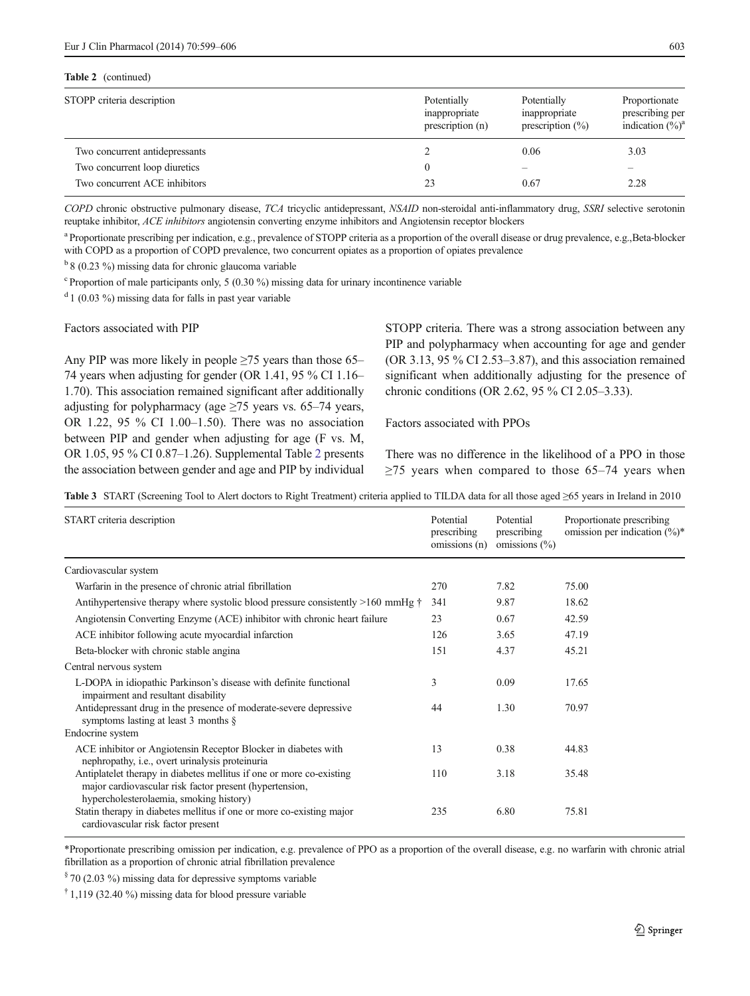<span id="page-4-0"></span>

| <b>Table 2</b> (continued)     |                                                    |                                                     |                                                         |  |
|--------------------------------|----------------------------------------------------|-----------------------------------------------------|---------------------------------------------------------|--|
| STOPP criteria description     | Potentially<br>inappropriate<br>prescription $(n)$ | Potentially<br>inappropriate<br>prescription $(\%)$ | Proportionate<br>prescribing per<br>indication $(\%)^a$ |  |
| Two concurrent antidepressants |                                                    | 0.06                                                | 3.03                                                    |  |
| Two concurrent loop diuretics  | 0                                                  |                                                     |                                                         |  |
| Two concurrent ACE inhibitors  | 23                                                 | 0.67                                                | 2.28                                                    |  |

COPD chronic obstructive pulmonary disease, TCA tricyclic antidepressant, NSAID non-steroidal anti-inflammatory drug, SSRI selective serotonin reuptake inhibitor, ACE inhibitors angiotensin converting enzyme inhibitors and Angiotensin receptor blockers

<sup>a</sup> Proportionate prescribing per indication, e.g., prevalence of STOPP criteria as a proportion of the overall disease or drug prevalence, e.g., Beta-blocker with COPD as a proportion of COPD prevalence, two concurrent opiates as a proportion of opiates prevalence

<sup>b</sup> 8 (0.23 %) missing data for chronic glaucoma variable

<sup>c</sup> Proportion of male participants only, 5 (0.30 %) missing data for urinary incontinence variable

 $d_1$  (0.03 %) missing data for falls in past year variable

## Factors associated with PIP

Any PIP was more likely in people  $\geq$ 75 years than those 65– 74 years when adjusting for gender (OR 1.41, 95 % CI 1.16– 1.70). This association remained significant after additionally adjusting for polypharmacy (age  $\geq$ 75 years vs. 65–74 years, OR 1.22, 95 % CI 1.00–1.50). There was no association between PIP and gender when adjusting for age (F vs. M, OR 1.05, 95 % CI 0.87–1.26). Supplemental Table 2 presents the association between gender and age and PIP by individual STOPP criteria. There was a strong association between any PIP and polypharmacy when accounting for age and gender (OR 3.13, 95 % CI 2.53–3.87), and this association remained significant when additionally adjusting for the presence of chronic conditions (OR 2.62, 95 % CI 2.05–3.33).

Factors associated with PPOs

There was no difference in the likelihood of a PPO in those  $\geq$ 75 years when compared to those 65–74 years when

Table 3 START (Screening Tool to Alert doctors to Right Treatment) criteria applied to TILDA data for all those aged ≥65 years in Ireland in 2010

| START criteria description                                                                                                                                                 | Potential<br>prescribing<br>omissions(n) | Potential<br>prescribing<br>omissions $(\% )$ | Proportionate prescribing<br>omission per indication $(\%)^*$ |
|----------------------------------------------------------------------------------------------------------------------------------------------------------------------------|------------------------------------------|-----------------------------------------------|---------------------------------------------------------------|
| Cardiovascular system                                                                                                                                                      |                                          |                                               |                                                               |
| Warfarin in the presence of chronic atrial fibrillation                                                                                                                    | 270                                      | 7.82                                          | 75.00                                                         |
| Antihypertensive therapy where systolic blood pressure consistently $>160$ mmHg $\dagger$                                                                                  | 341                                      | 9.87                                          | 18.62                                                         |
| Angiotensin Converting Enzyme (ACE) inhibitor with chronic heart failure                                                                                                   | 23                                       | 0.67                                          | 42.59                                                         |
| ACE inhibitor following acute myocardial infarction                                                                                                                        | 126                                      | 3.65                                          | 47.19                                                         |
| Beta-blocker with chronic stable angina                                                                                                                                    | 151                                      | 4.37                                          | 45.21                                                         |
| Central nervous system                                                                                                                                                     |                                          |                                               |                                                               |
| L-DOPA in idiopathic Parkinson's disease with definite functional<br>impairment and resultant disability                                                                   | 3                                        | 0.09                                          | 17.65                                                         |
| Antidepressant drug in the presence of moderate-severe depressive<br>symptoms lasting at least 3 months $\S$                                                               | 44                                       | 1.30                                          | 70.97                                                         |
| Endocrine system                                                                                                                                                           |                                          |                                               |                                                               |
| ACE inhibitor or Angiotensin Receptor Blocker in diabetes with<br>nephropathy, i.e., overt urinalysis proteinuria                                                          | 13                                       | 0.38                                          | 44.83                                                         |
| Antiplatelet therapy in diabetes mellitus if one or more co-existing<br>major cardiovascular risk factor present (hypertension,<br>hypercholesterolaemia, smoking history) | 110                                      | 3.18                                          | 35.48                                                         |
| Statin therapy in diabetes mellitus if one or more co-existing major<br>cardiovascular risk factor present                                                                 | 235                                      | 6.80                                          | 75.81                                                         |

\*Proportionate prescribing omission per indication, e.g. prevalence of PPO as a proportion of the overall disease, e.g. no warfarin with chronic atrial fibrillation as a proportion of chronic atrial fibrillation prevalence

§ 70 (2.03 %) missing data for depressive symptoms variable

† 1,119 (32.40 %) missing data for blood pressure variable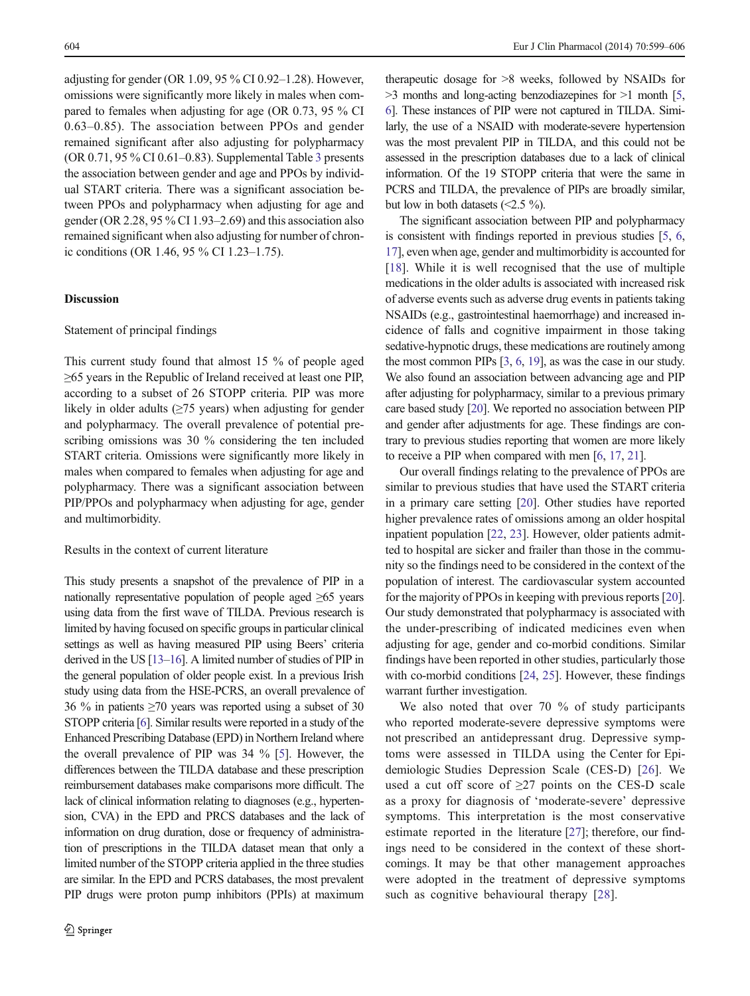adjusting for gender (OR  $1.09$ ,  $95\%$  CI  $0.92-1.28$ ). However, omissions were significantly more likely in males when compared to females when adjusting for age (OR 0.73, 95 % CI 0.63–0.85). The association between PPOs and gender remained significant after also adjusting for polypharmacy (OR 0.71, 95 % CI 0.61–0.83). Supplemental Table 3 presents the association between gender and age and PPOs by individual START criteria. There was a significant association between PPOs and polypharmacy when adjusting for age and gender (OR 2.28, 95 % CI 1.93–2.69) and this association also remained significant when also adjusting for number of chronic conditions (OR 1.46, 95 % CI 1.23–1.75).

## **Discussion**

## Statement of principal findings

This current study found that almost 15 % of people aged ≥65 years in the Republic of Ireland received at least one PIP, according to a subset of 26 STOPP criteria. PIP was more likely in older adults ( $\geq$ 75 years) when adjusting for gender and polypharmacy. The overall prevalence of potential prescribing omissions was 30 % considering the ten included START criteria. Omissions were significantly more likely in males when compared to females when adjusting for age and polypharmacy. There was a significant association between PIP/PPOs and polypharmacy when adjusting for age, gender and multimorbidity.

## Results in the context of current literature

This study presents a snapshot of the prevalence of PIP in a nationally representative population of people aged  $\geq 65$  years using data from the first wave of TILDA. Previous research is limited by having focused on specific groups in particular clinical settings as well as having measured PIP using Beers' criteria derived in the US [[13](#page-7-0)–[16](#page-7-0)]. A limited number of studies of PIP in the general population of older people exist. In a previous Irish study using data from the HSE-PCRS, an overall prevalence of 36 % in patients  $\geq$  70 years was reported using a subset of 30 STOPP criteria [[6](#page-7-0)]. Similar results were reported in a study of the Enhanced Prescribing Database (EPD) in Northern Ireland where the overall prevalence of PIP was 34 % [\[5](#page-7-0)]. However, the differences between the TILDA database and these prescription reimbursement databases make comparisons more difficult. The lack of clinical information relating to diagnoses (e.g., hypertension, CVA) in the EPD and PRCS databases and the lack of information on drug duration, dose or frequency of administration of prescriptions in the TILDA dataset mean that only a limited number of the STOPP criteria applied in the three studies are similar. In the EPD and PCRS databases, the most prevalent PIP drugs were proton pump inhibitors (PPIs) at maximum

therapeutic dosage for >8 weeks, followed by NSAIDs for >3 months and long-acting benzodiazepines for >1 month [\[5,](#page-7-0) [6\]](#page-7-0). These instances of PIP were not captured in TILDA. Similarly, the use of a NSAID with moderate-severe hypertension was the most prevalent PIP in TILDA, and this could not be assessed in the prescription databases due to a lack of clinical information. Of the 19 STOPP criteria that were the same in PCRS and TILDA, the prevalence of PIPs are broadly similar, but low in both datasets  $(\leq 2.5 \%)$ .

The significant association between PIP and polypharmacy is consistent with findings reported in previous studies [\[5](#page-7-0), [6,](#page-7-0) [17\]](#page-7-0), even when age, gender and multimorbidity is accounted for [\[18](#page-7-0)]. While it is well recognised that the use of multiple medications in the older adults is associated with increased risk of adverse events such as adverse drug events in patients taking NSAIDs (e.g., gastrointestinal haemorrhage) and increased incidence of falls and cognitive impairment in those taking sedative-hypnotic drugs, these medications are routinely among the most common PIPs [\[3,](#page-6-0) [6](#page-7-0), [19\]](#page-7-0), as was the case in our study. We also found an association between advancing age and PIP after adjusting for polypharmacy, similar to a previous primary care based study [\[20\]](#page-7-0). We reported no association between PIP and gender after adjustments for age. These findings are contrary to previous studies reporting that women are more likely to receive a PIP when compared with men [\[6,](#page-7-0) [17,](#page-7-0) [21](#page-7-0)].

Our overall findings relating to the prevalence of PPOs are similar to previous studies that have used the START criteria in a primary care setting [\[20](#page-7-0)]. Other studies have reported higher prevalence rates of omissions among an older hospital inpatient population [\[22,](#page-7-0) [23\]](#page-7-0). However, older patients admitted to hospital are sicker and frailer than those in the community so the findings need to be considered in the context of the population of interest. The cardiovascular system accounted for the majority of PPOs in keeping with previous reports [[20\]](#page-7-0). Our study demonstrated that polypharmacy is associated with the under-prescribing of indicated medicines even when adjusting for age, gender and co-morbid conditions. Similar findings have been reported in other studies, particularly those with co-morbid conditions [[24,](#page-7-0) [25\]](#page-7-0). However, these findings warrant further investigation.

We also noted that over 70 % of study participants who reported moderate-severe depressive symptoms were not prescribed an antidepressant drug. Depressive symptoms were assessed in TILDA using the Center for Epidemiologic Studies Depression Scale (CES-D) [[26](#page-7-0)]. We used a cut off score of  $\geq$ 27 points on the CES-D scale as a proxy for diagnosis of 'moderate-severe' depressive symptoms. This interpretation is the most conservative estimate reported in the literature [\[27\]](#page-7-0); therefore, our findings need to be considered in the context of these shortcomings. It may be that other management approaches were adopted in the treatment of depressive symptoms such as cognitive behavioural therapy [[28\]](#page-7-0).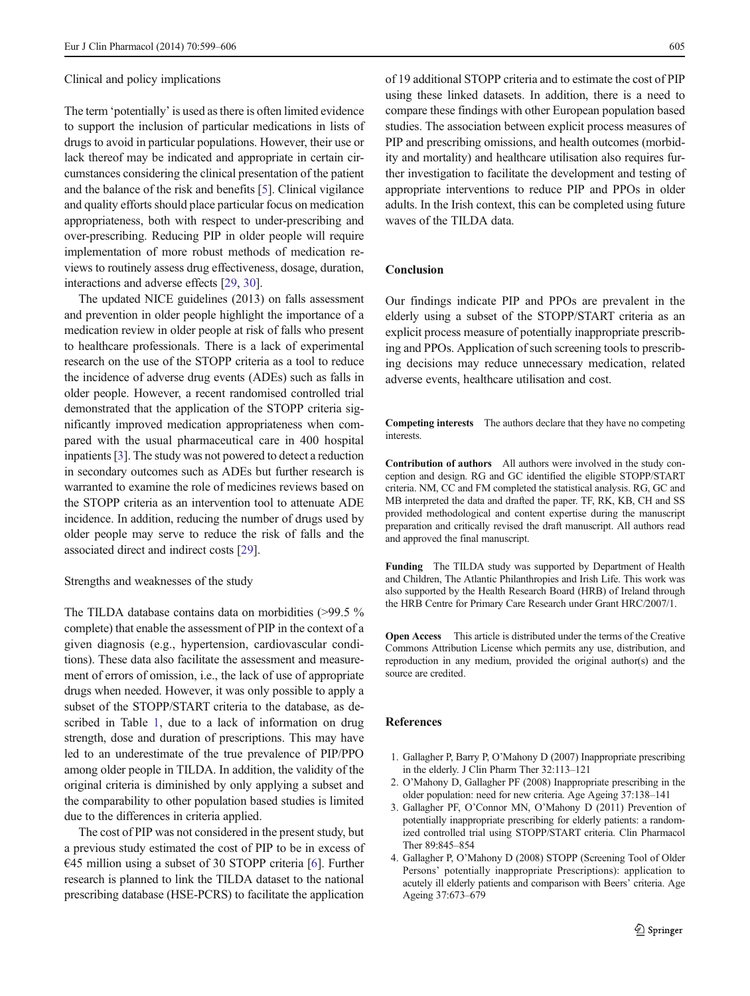#### <span id="page-6-0"></span>Clinical and policy implications

The term 'potentially' is used as there is often limited evidence to support the inclusion of particular medications in lists of drugs to avoid in particular populations. However, their use or lack thereof may be indicated and appropriate in certain circumstances considering the clinical presentation of the patient and the balance of the risk and benefits [\[5\]](#page-7-0). Clinical vigilance and quality efforts should place particular focus on medication appropriateness, both with respect to under-prescribing and over-prescribing. Reducing PIP in older people will require implementation of more robust methods of medication reviews to routinely assess drug effectiveness, dosage, duration, interactions and adverse effects [\[29](#page-7-0), [30](#page-7-0)].

The updated NICE guidelines (2013) on falls assessment and prevention in older people highlight the importance of a medication review in older people at risk of falls who present to healthcare professionals. There is a lack of experimental research on the use of the STOPP criteria as a tool to reduce the incidence of adverse drug events (ADEs) such as falls in older people. However, a recent randomised controlled trial demonstrated that the application of the STOPP criteria significantly improved medication appropriateness when compared with the usual pharmaceutical care in 400 hospital inpatients [3]. The study was not powered to detect a reduction in secondary outcomes such as ADEs but further research is warranted to examine the role of medicines reviews based on the STOPP criteria as an intervention tool to attenuate ADE incidence. In addition, reducing the number of drugs used by older people may serve to reduce the risk of falls and the associated direct and indirect costs [\[29](#page-7-0)].

#### Strengths and weaknesses of the study

The TILDA database contains data on morbidities (>99.5 % complete) that enable the assessment of PIP in the context of a given diagnosis (e.g., hypertension, cardiovascular conditions). These data also facilitate the assessment and measurement of errors of omission, i.e., the lack of use of appropriate drugs when needed. However, it was only possible to apply a subset of the STOPP/START criteria to the database, as described in Table [1,](#page-2-0) due to a lack of information on drug strength, dose and duration of prescriptions. This may have led to an underestimate of the true prevalence of PIP/PPO among older people in TILDA. In addition, the validity of the original criteria is diminished by only applying a subset and the comparability to other population based studies is limited due to the differences in criteria applied.

The cost of PIP was not considered in the present study, but a previous study estimated the cost of PIP to be in excess of €45 million using a subset of 30 STOPP criteria [\[6](#page-7-0)]. Further research is planned to link the TILDA dataset to the national prescribing database (HSE-PCRS) to facilitate the application

of 19 additional STOPP criteria and to estimate the cost of PIP using these linked datasets. In addition, there is a need to compare these findings with other European population based studies. The association between explicit process measures of PIP and prescribing omissions, and health outcomes (morbidity and mortality) and healthcare utilisation also requires further investigation to facilitate the development and testing of appropriate interventions to reduce PIP and PPOs in older adults. In the Irish context, this can be completed using future waves of the TILDA data.

## Conclusion

Our findings indicate PIP and PPOs are prevalent in the elderly using a subset of the STOPP/START criteria as an explicit process measure of potentially inappropriate prescribing and PPOs. Application of such screening tools to prescribing decisions may reduce unnecessary medication, related adverse events, healthcare utilisation and cost.

Competing interests The authors declare that they have no competing interests.

Contribution of authors All authors were involved in the study conception and design. RG and GC identified the eligible STOPP/START criteria. NM, CC and FM completed the statistical analysis. RG, GC and MB interpreted the data and drafted the paper. TF, RK, KB, CH and SS provided methodological and content expertise during the manuscript preparation and critically revised the draft manuscript. All authors read and approved the final manuscript.

Funding The TILDA study was supported by Department of Health and Children, The Atlantic Philanthropies and Irish Life. This work was also supported by the Health Research Board (HRB) of Ireland through the HRB Centre for Primary Care Research under Grant HRC/2007/1.

Open Access This article is distributed under the terms of the Creative Commons Attribution License which permits any use, distribution, and reproduction in any medium, provided the original author(s) and the source are credited.

#### References

- 1. Gallagher P, Barry P, O'Mahony D (2007) Inappropriate prescribing in the elderly. J Clin Pharm Ther 32:113–121
- 2. O'Mahony D, Gallagher PF (2008) Inappropriate prescribing in the older population: need for new criteria. Age Ageing 37:138–141
- 3. Gallagher PF, O'Connor MN, O'Mahony D (2011) Prevention of potentially inappropriate prescribing for elderly patients: a randomized controlled trial using STOPP/START criteria. Clin Pharmacol Ther 89:845–854
- 4. Gallagher P, O'Mahony D (2008) STOPP (Screening Tool of Older Persons' potentially inappropriate Prescriptions): application to acutely ill elderly patients and comparison with Beers' criteria. Age Ageing 37:673–679